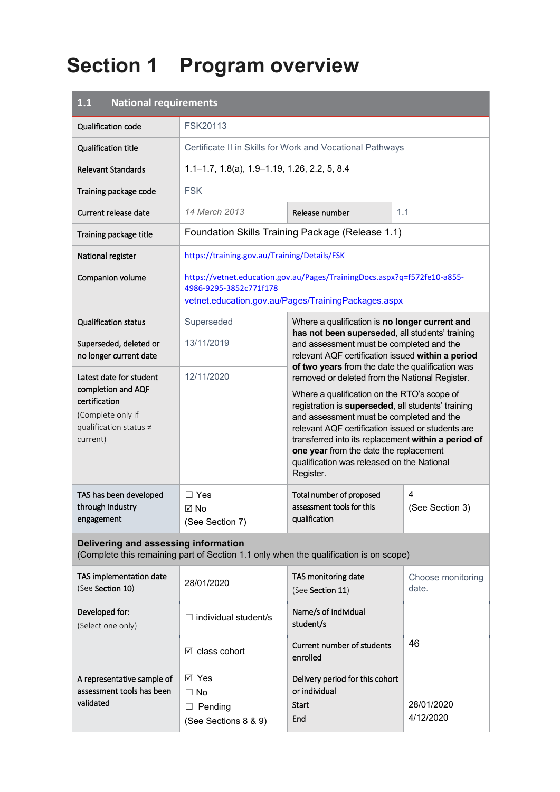# **Section 1 Program overview**

| <b>National requirements</b><br>1.1                                                                                       |                                                                                       |                                                                                                                                                                                                                                                                                                                                                                                                                                                                                                                                                                                                                          |                         |  |
|---------------------------------------------------------------------------------------------------------------------------|---------------------------------------------------------------------------------------|--------------------------------------------------------------------------------------------------------------------------------------------------------------------------------------------------------------------------------------------------------------------------------------------------------------------------------------------------------------------------------------------------------------------------------------------------------------------------------------------------------------------------------------------------------------------------------------------------------------------------|-------------------------|--|
| Qualification code                                                                                                        | FSK20113                                                                              |                                                                                                                                                                                                                                                                                                                                                                                                                                                                                                                                                                                                                          |                         |  |
| <b>Qualification title</b>                                                                                                | Certificate II in Skills for Work and Vocational Pathways                             |                                                                                                                                                                                                                                                                                                                                                                                                                                                                                                                                                                                                                          |                         |  |
| <b>Relevant Standards</b>                                                                                                 | $1.1 - 1.7$ , $1.8(a)$ , $1.9 - 1.19$ , $1.26$ , $2.2$ , $5$ , $8.4$                  |                                                                                                                                                                                                                                                                                                                                                                                                                                                                                                                                                                                                                          |                         |  |
| Training package code                                                                                                     | <b>FSK</b>                                                                            |                                                                                                                                                                                                                                                                                                                                                                                                                                                                                                                                                                                                                          |                         |  |
| Current release date                                                                                                      | 14 March 2013                                                                         | Release number                                                                                                                                                                                                                                                                                                                                                                                                                                                                                                                                                                                                           | 1.1                     |  |
| Training package title                                                                                                    |                                                                                       | Foundation Skills Training Package (Release 1.1)                                                                                                                                                                                                                                                                                                                                                                                                                                                                                                                                                                         |                         |  |
| National register                                                                                                         | https://training.gov.au/Training/Details/FSK                                          |                                                                                                                                                                                                                                                                                                                                                                                                                                                                                                                                                                                                                          |                         |  |
| Companion volume                                                                                                          | 4986-9295-3852c771f178                                                                | https://vetnet.education.gov.au/Pages/TrainingDocs.aspx?q=f572fe10-a855-<br>vetnet.education.gov.au/Pages/TrainingPackages.aspx                                                                                                                                                                                                                                                                                                                                                                                                                                                                                          |                         |  |
| <b>Qualification status</b>                                                                                               | Superseded                                                                            | Where a qualification is no longer current and                                                                                                                                                                                                                                                                                                                                                                                                                                                                                                                                                                           |                         |  |
| Superseded, deleted or<br>no longer current date                                                                          | 13/11/2019                                                                            | has not been superseded, all students' training<br>and assessment must be completed and the<br>relevant AQF certification issued within a period<br>of two years from the date the qualification was<br>removed or deleted from the National Register.<br>Where a qualification on the RTO's scope of<br>registration is superseded, all students' training<br>and assessment must be completed and the<br>relevant AQF certification issued or students are<br>transferred into its replacement within a period of<br>one year from the date the replacement<br>qualification was released on the National<br>Register. |                         |  |
| Latest date for student<br>completion and AQF<br>certification<br>(Complete only if<br>qualification status ≠<br>current) | 12/11/2020                                                                            |                                                                                                                                                                                                                                                                                                                                                                                                                                                                                                                                                                                                                          |                         |  |
| TAS has been developed<br>through industry<br>engagement                                                                  | $\Box$ Yes<br>$\boxtimes$ No<br>(See Section 7)                                       | Total number of proposed<br>assessment tools for this<br>qualification                                                                                                                                                                                                                                                                                                                                                                                                                                                                                                                                                   | 4<br>(See Section 3)    |  |
| Delivering and assessing information                                                                                      | (Complete this remaining part of Section 1.1 only when the qualification is on scope) |                                                                                                                                                                                                                                                                                                                                                                                                                                                                                                                                                                                                                          |                         |  |
| TAS implementation date<br>(See Section 10)                                                                               | 28/01/2020                                                                            | TAS monitoring date<br>Choose monitoring<br>date.<br>(See Section 11)                                                                                                                                                                                                                                                                                                                                                                                                                                                                                                                                                    |                         |  |
| Developed for:<br>(Select one only)                                                                                       | $\Box$ individual student/s                                                           | Name/s of individual<br>student/s                                                                                                                                                                                                                                                                                                                                                                                                                                                                                                                                                                                        |                         |  |
|                                                                                                                           | $\boxtimes$ class cohort                                                              | Current number of students<br>enrolled                                                                                                                                                                                                                                                                                                                                                                                                                                                                                                                                                                                   | 46                      |  |
| A representative sample of<br>assessment tools has been<br>validated                                                      | $\boxtimes$ Yes<br>$\Box$ No<br>$\Box$ Pending<br>(See Sections 8 & 9)                | Delivery period for this cohort<br>or individual<br><b>Start</b><br>End                                                                                                                                                                                                                                                                                                                                                                                                                                                                                                                                                  | 28/01/2020<br>4/12/2020 |  |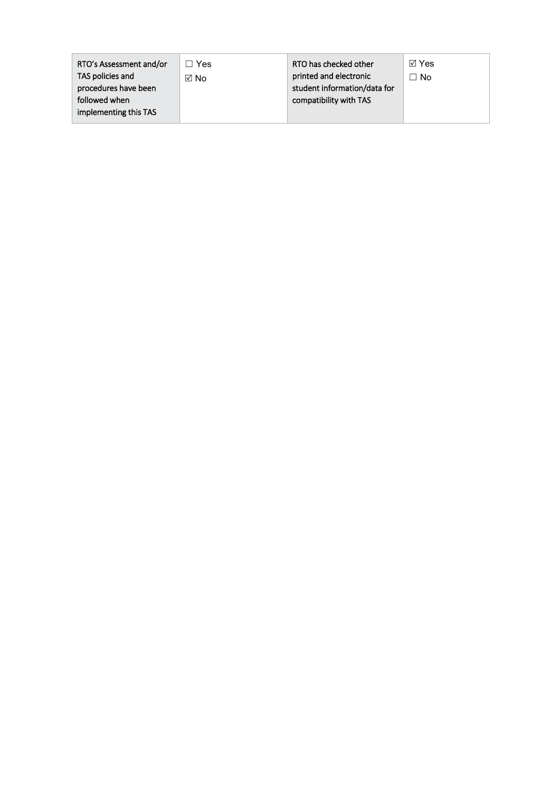| RTO's Assessment and/or | <b>Yes</b> | RTO has checked other        | ⊠ Yes |
|-------------------------|------------|------------------------------|-------|
| TAS policies and        | ⊠ No       | printed and electronic       | ר No  |
| procedures have been    |            | student information/data for |       |
| followed when           |            | compatibility with TAS       |       |
| implementing this TAS   |            |                              |       |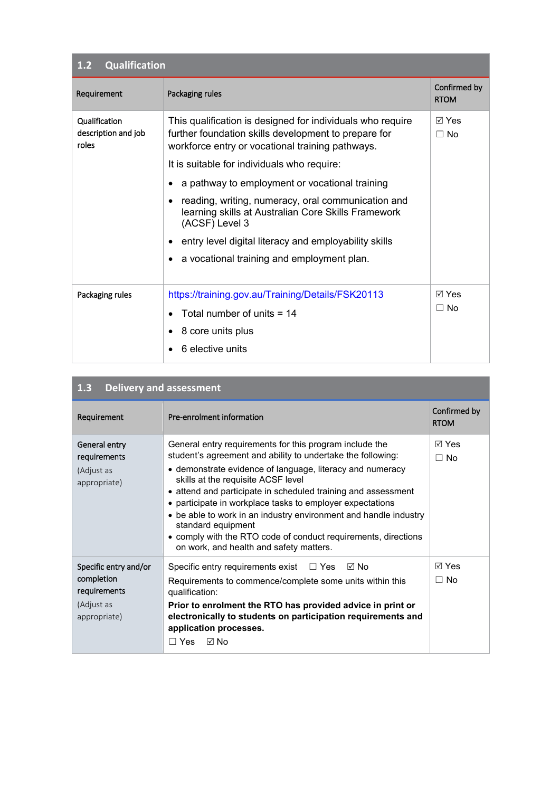| <b>Qualification</b><br>1.2                   |                                                                                                                                                                        |                             |  |  |
|-----------------------------------------------|------------------------------------------------------------------------------------------------------------------------------------------------------------------------|-----------------------------|--|--|
| Requirement                                   | Packaging rules                                                                                                                                                        | Confirmed by<br><b>RTOM</b> |  |  |
| Qualification<br>description and job<br>roles | This qualification is designed for individuals who require<br>further foundation skills development to prepare for<br>workforce entry or vocational training pathways. | ⊠ Yes<br>$\Box$ No          |  |  |
|                                               | It is suitable for individuals who require:                                                                                                                            |                             |  |  |
|                                               | a pathway to employment or vocational training                                                                                                                         |                             |  |  |
|                                               | reading, writing, numeracy, oral communication and<br>$\bullet$<br>learning skills at Australian Core Skills Framework<br>(ACSF) Level 3                               |                             |  |  |
|                                               | entry level digital literacy and employability skills<br>٠                                                                                                             |                             |  |  |
|                                               | a vocational training and employment plan.                                                                                                                             |                             |  |  |
| Packaging rules                               | https://training.gov.au/Training/Details/FSK20113                                                                                                                      | ⊠ Yes                       |  |  |
|                                               | Total number of units $= 14$                                                                                                                                           | $\Box$ No                   |  |  |
|                                               | 8 core units plus                                                                                                                                                      |                             |  |  |
|                                               | 6 elective units                                                                                                                                                       |                             |  |  |

| 1.3 | Delivery and assessment |  |
|-----|-------------------------|--|
|     |                         |  |

| Requirement                                                                       | Pre-enrolment information                                                                                                                                                                                                                                                                                                                                                                                                                                                                                                                                      | Confirmed by<br><b>RTOM</b> |
|-----------------------------------------------------------------------------------|----------------------------------------------------------------------------------------------------------------------------------------------------------------------------------------------------------------------------------------------------------------------------------------------------------------------------------------------------------------------------------------------------------------------------------------------------------------------------------------------------------------------------------------------------------------|-----------------------------|
| General entry<br>requirements<br>(Adjust as<br>appropriate)                       | General entry requirements for this program include the<br>student's agreement and ability to undertake the following:<br>• demonstrate evidence of language, literacy and numeracy<br>skills at the requisite ACSF level<br>• attend and participate in scheduled training and assessment<br>• participate in workplace tasks to employer expectations<br>• be able to work in an industry environment and handle industry<br>standard equipment<br>• comply with the RTO code of conduct requirements, directions<br>on work, and health and safety matters. | ⊠ Yes<br>⊟ No               |
| Specific entry and/or<br>completion<br>requirements<br>(Adjust as<br>appropriate) | Specific entry requirements exist $\Box$ Yes<br>⊠ No<br>Requirements to commence/complete some units within this<br>qualification:<br>Prior to enrolment the RTO has provided advice in print or<br>electronically to students on participation requirements and<br>application processes.<br>Π Yes M No                                                                                                                                                                                                                                                       | $\boxdot$ Yes<br>$\Box$ No  |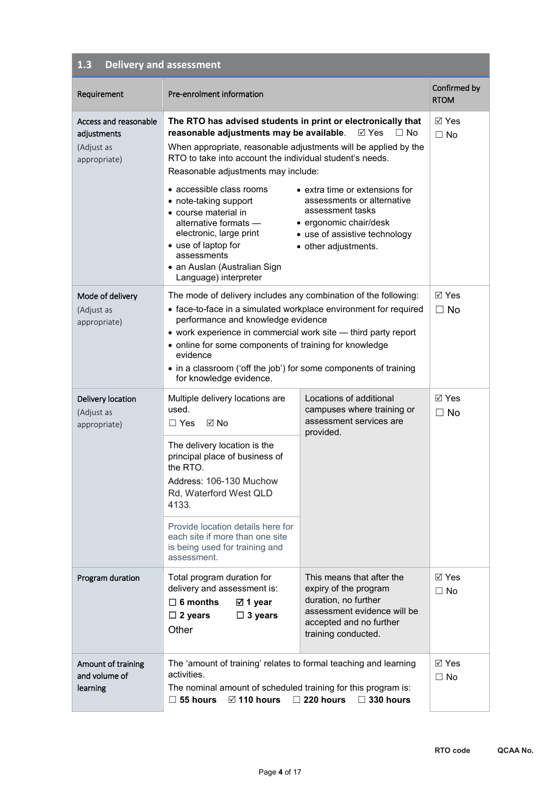#### **1.3 Delivery and assessment**

| Requirement                                                        | Pre-enrolment information                                                                                                                                                                                                                                                                                                                                                                                                                                                                                      |                                                                                                                                                                                                     | Confirmed by<br><b>RTOM</b>  |
|--------------------------------------------------------------------|----------------------------------------------------------------------------------------------------------------------------------------------------------------------------------------------------------------------------------------------------------------------------------------------------------------------------------------------------------------------------------------------------------------------------------------------------------------------------------------------------------------|-----------------------------------------------------------------------------------------------------------------------------------------------------------------------------------------------------|------------------------------|
| Access and reasonable<br>adjustments<br>(Adjust as<br>appropriate) | The RTO has advised students in print or electronically that<br>reasonable adjustments may be available.<br>When appropriate, reasonable adjustments will be applied by the<br>RTO to take into account the individual student's needs.<br>Reasonable adjustments may include:<br>• accessible class rooms<br>• note-taking support<br>• course material in<br>alternative formats —<br>electronic, large print<br>• use of laptop for<br>assessments<br>• an Auslan (Australian Sign<br>Language) interpreter | $\boxtimes$ Yes<br>$\Box$ No<br>• extra time or extensions for<br>assessments or alternative<br>assessment tasks<br>• ergonomic chair/desk<br>• use of assistive technology<br>• other adjustments. | ⊠ Yes<br>$\Box$ No           |
| Mode of delivery<br>(Adjust as<br>appropriate)                     | The mode of delivery includes any combination of the following:<br>• face-to-face in a simulated workplace environment for required<br>performance and knowledge evidence<br>• work experience in commercial work site - third party report<br>• online for some components of training for knowledge<br>evidence<br>• in a classroom ('off the job') for some components of training<br>for knowledge evidence.                                                                                               |                                                                                                                                                                                                     | $\boxtimes$ Yes<br>$\Box$ No |
| Delivery location<br>(Adjust as<br>appropriate)                    | Multiple delivery locations are<br>used.<br>$\boxtimes$ No<br>$\Box$ Yes<br>The delivery location is the<br>principal place of business of<br>the RTO.<br>Address: 106-130 Muchow<br>Rd, Waterford West QLD<br>4133.<br>Provide location details here for<br>each site if more than one site<br>is being used for training and<br>assessment.                                                                                                                                                                  | Locations of additional<br>campuses where training or<br>assessment services are<br>provided.                                                                                                       | $\boxtimes$ Yes<br>$\Box$ No |
| Program duration                                                   | Total program duration for<br>delivery and assessment is:<br>$\Box$ 6 months<br>⊠ 1 year<br>$\Box$ 2 years<br>$\Box$ 3 years<br>Other                                                                                                                                                                                                                                                                                                                                                                          | This means that after the<br>expiry of the program<br>duration, no further<br>assessment evidence will be<br>accepted and no further<br>training conducted.                                         | $\boxdot$ Yes<br>$\Box$ No   |
| Amount of training<br>and volume of<br>learning                    | The 'amount of training' relates to formal teaching and learning<br>activities.<br>The nominal amount of scheduled training for this program is:<br>$\boxtimes$ 110 hours<br>$\square$ 55 hours                                                                                                                                                                                                                                                                                                                | $\Box$ 220 hours<br>$\Box$ 330 hours                                                                                                                                                                | $\boxtimes$ Yes<br>$\Box$ No |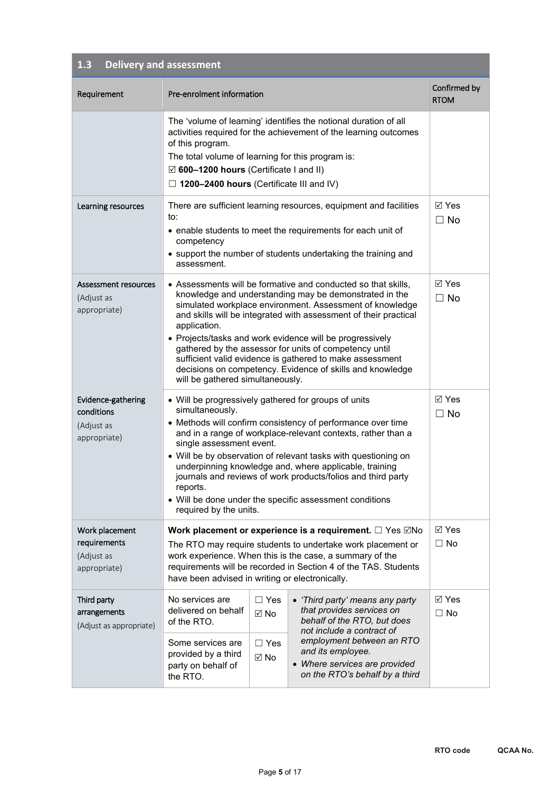### **1.3 Delivery and assessment**

| Requirement                                                    | Pre-enrolment information                                                                                                                                                                                                                                                                                                                                                                                                                                                                                                                                  |                                                              |                                                                                                                                                                            | Confirmed by<br><b>RTOM</b> |
|----------------------------------------------------------------|------------------------------------------------------------------------------------------------------------------------------------------------------------------------------------------------------------------------------------------------------------------------------------------------------------------------------------------------------------------------------------------------------------------------------------------------------------------------------------------------------------------------------------------------------------|--------------------------------------------------------------|----------------------------------------------------------------------------------------------------------------------------------------------------------------------------|-----------------------------|
|                                                                | The 'volume of learning' identifies the notional duration of all<br>activities required for the achievement of the learning outcomes<br>of this program.<br>The total volume of learning for this program is:<br>$\boxtimes$ 600-1200 hours (Certificate I and II)<br>$\Box$ 1200–2400 hours (Certificate III and IV)                                                                                                                                                                                                                                      |                                                              |                                                                                                                                                                            |                             |
| Learning resources                                             | There are sufficient learning resources, equipment and facilities<br>to:<br>• enable students to meet the requirements for each unit of<br>competency<br>• support the number of students undertaking the training and<br>assessment.                                                                                                                                                                                                                                                                                                                      |                                                              | <b>⊠</b> Yes<br>$\Box$ No                                                                                                                                                  |                             |
| Assessment resources<br>(Adjust as<br>appropriate)             | • Assessments will be formative and conducted so that skills,<br>knowledge and understanding may be demonstrated in the<br>simulated workplace environment. Assessment of knowledge<br>and skills will be integrated with assessment of their practical<br>application.<br>• Projects/tasks and work evidence will be progressively<br>gathered by the assessor for units of competency until<br>sufficient valid evidence is gathered to make assessment<br>decisions on competency. Evidence of skills and knowledge<br>will be gathered simultaneously. |                                                              |                                                                                                                                                                            | <b>⊠</b> Yes<br>$\Box$ No   |
| Evidence-gathering<br>conditions<br>(Adjust as<br>appropriate) | • Will be progressively gathered for groups of units<br>simultaneously.<br>• Methods will confirm consistency of performance over time<br>and in a range of workplace-relevant contexts, rather than a<br>single assessment event.<br>• Will be by observation of relevant tasks with questioning on<br>underpinning knowledge and, where applicable, training<br>journals and reviews of work products/folios and third party<br>reports.<br>• Will be done under the specific assessment conditions<br>required by the units.                            |                                                              | $\boxtimes$ Yes<br>$\Box$ No                                                                                                                                               |                             |
| Work placement<br>requirements<br>(Adjust as<br>appropriate)   | Work placement or experience is a requirement. $\Box$ Yes $\Box$ No<br>The RTO may require students to undertake work placement or<br>work experience. When this is the case, a summary of the<br>requirements will be recorded in Section 4 of the TAS. Students<br>have been advised in writing or electronically.                                                                                                                                                                                                                                       |                                                              | ⊠ Yes<br>$\Box$ No                                                                                                                                                         |                             |
| Third party<br>arrangements<br>(Adjust as appropriate)         | No services are<br>delivered on behalf<br>of the RTO.<br>Some services are<br>provided by a third                                                                                                                                                                                                                                                                                                                                                                                                                                                          | $\Box$ Yes<br>$\boxtimes$ No<br>$\Box$ Yes<br>$\boxtimes$ No | • 'Third party' means any party<br>that provides services on<br>behalf of the RTO, but does<br>not include a contract of<br>employment between an RTO<br>and its employee. | ⊠ Yes<br>$\Box$ No          |
|                                                                | party on behalf of<br>the RTO.                                                                                                                                                                                                                                                                                                                                                                                                                                                                                                                             |                                                              | • Where services are provided<br>on the RTO's behalf by a third                                                                                                            |                             |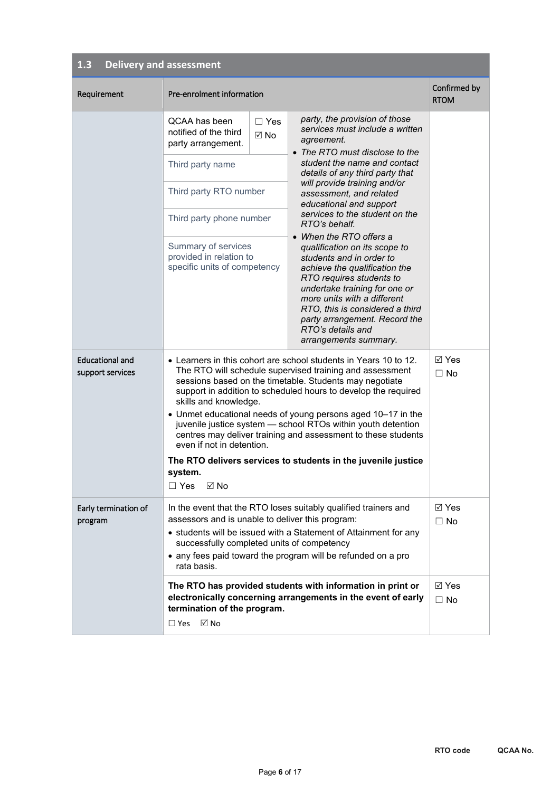#### **1.3 Delivery and assessment**

| Requirement                                | Pre-enrolment information                                                                                                                                                                                                                                                                                                                                                                                                                                                                                                                                                                                          |                    |                                                                                                                                                                                                                                                                                                                                                                                                                                                                                                                                                                                                                                                                     | Confirmed by<br><b>RTOM</b>  |
|--------------------------------------------|--------------------------------------------------------------------------------------------------------------------------------------------------------------------------------------------------------------------------------------------------------------------------------------------------------------------------------------------------------------------------------------------------------------------------------------------------------------------------------------------------------------------------------------------------------------------------------------------------------------------|--------------------|---------------------------------------------------------------------------------------------------------------------------------------------------------------------------------------------------------------------------------------------------------------------------------------------------------------------------------------------------------------------------------------------------------------------------------------------------------------------------------------------------------------------------------------------------------------------------------------------------------------------------------------------------------------------|------------------------------|
|                                            | QCAA has been<br>notified of the third<br>party arrangement.<br>Third party name<br>Third party RTO number<br>Third party phone number<br>Summary of services<br>provided in relation to<br>specific units of competency                                                                                                                                                                                                                                                                                                                                                                                           | $\Box$ Yes<br>⊠ No | party, the provision of those<br>services must include a written<br>agreement.<br>• The RTO must disclose to the<br>student the name and contact<br>details of any third party that<br>will provide training and/or<br>assessment, and related<br>educational and support<br>services to the student on the<br>RTO's behalf.<br>• When the RTO offers a<br>qualification on its scope to<br>students and in order to<br>achieve the qualification the<br>RTO requires students to<br>undertake training for one or<br>more units with a different<br>RTO, this is considered a third<br>party arrangement. Record the<br>RTO's details and<br>arrangements summary. |                              |
| <b>Educational and</b><br>support services | • Learners in this cohort are school students in Years 10 to 12.<br>The RTO will schedule supervised training and assessment<br>sessions based on the timetable. Students may negotiate<br>support in addition to scheduled hours to develop the required<br>skills and knowledge.<br>• Unmet educational needs of young persons aged 10-17 in the<br>juvenile justice system - school RTOs within youth detention<br>centres may deliver training and assessment to these students<br>even if not in detention.<br>The RTO delivers services to students in the juvenile justice<br>system.<br>$\Box$ Yes<br>ା No |                    | ⊠ Yes<br>$\Box$ No                                                                                                                                                                                                                                                                                                                                                                                                                                                                                                                                                                                                                                                  |                              |
| Early termination of<br>program            | assessors and is unable to deliver this program:<br>successfully completed units of competency<br>rata basis.                                                                                                                                                                                                                                                                                                                                                                                                                                                                                                      |                    | In the event that the RTO loses suitably qualified trainers and<br>• students will be issued with a Statement of Attainment for any<br>• any fees paid toward the program will be refunded on a pro                                                                                                                                                                                                                                                                                                                                                                                                                                                                 | $\boxtimes$ Yes<br>$\Box$ No |
|                                            | termination of the program.<br>⊠ No<br>$\Box$ Yes                                                                                                                                                                                                                                                                                                                                                                                                                                                                                                                                                                  |                    | The RTO has provided students with information in print or<br>electronically concerning arrangements in the event of early                                                                                                                                                                                                                                                                                                                                                                                                                                                                                                                                          | $\boxtimes$ Yes<br>$\Box$ No |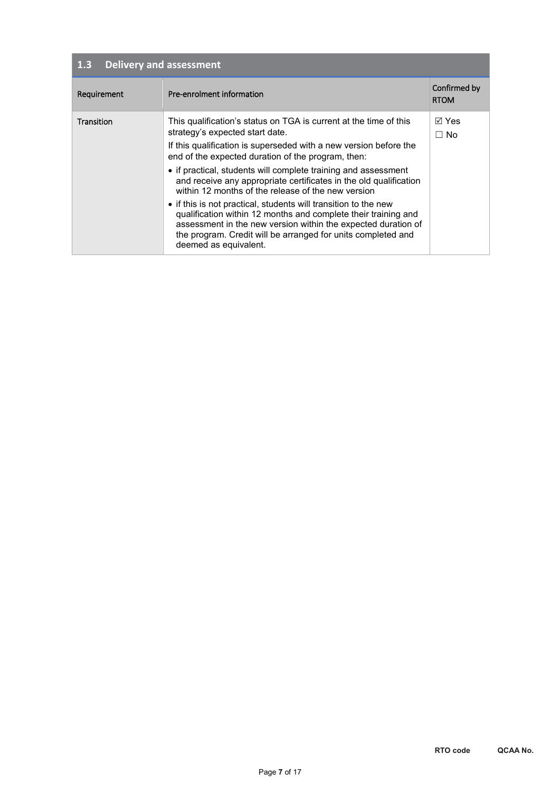| $1.\overline{3}$<br><b>Delivery and assessment</b> |                                                                                                                                                                                                                                                                                                                                                                                                                                                                                                                                                                                                                                                                                                                             |                             |  |  |
|----------------------------------------------------|-----------------------------------------------------------------------------------------------------------------------------------------------------------------------------------------------------------------------------------------------------------------------------------------------------------------------------------------------------------------------------------------------------------------------------------------------------------------------------------------------------------------------------------------------------------------------------------------------------------------------------------------------------------------------------------------------------------------------------|-----------------------------|--|--|
| Requirement                                        | Pre-enrolment information                                                                                                                                                                                                                                                                                                                                                                                                                                                                                                                                                                                                                                                                                                   | Confirmed by<br><b>RTOM</b> |  |  |
| Transition                                         | This qualification's status on TGA is current at the time of this<br>strategy's expected start date.<br>If this qualification is superseded with a new version before the<br>end of the expected duration of the program, then:<br>• if practical, students will complete training and assessment<br>and receive any appropriate certificates in the old qualification<br>within 12 months of the release of the new version<br>• if this is not practical, students will transition to the new<br>qualification within 12 months and complete their training and<br>assessment in the new version within the expected duration of<br>the program. Credit will be arranged for units completed and<br>deemed as equivalent. | ⊠ Yes<br>$\Box$ No          |  |  |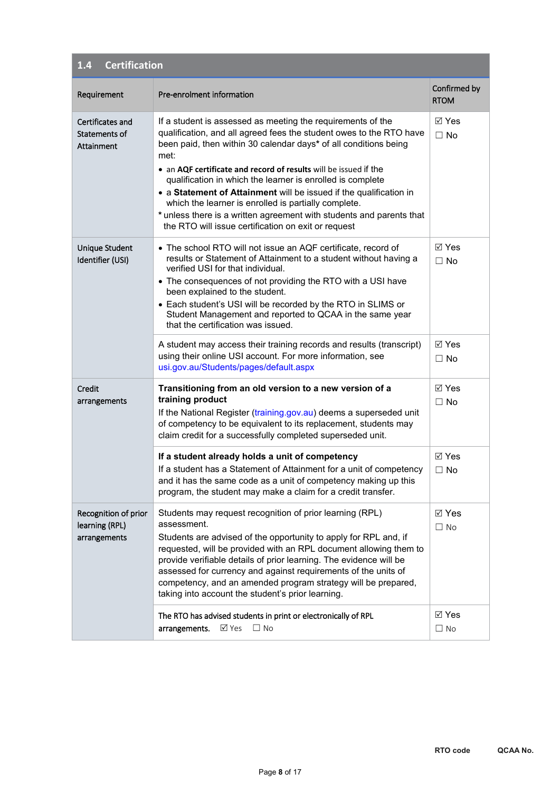| <b>Certification</b><br>1.4                            |                                                                                                                                                                                                                                                                                                                                                                                                                                                                                                                                                                                                               |                              |  |  |
|--------------------------------------------------------|---------------------------------------------------------------------------------------------------------------------------------------------------------------------------------------------------------------------------------------------------------------------------------------------------------------------------------------------------------------------------------------------------------------------------------------------------------------------------------------------------------------------------------------------------------------------------------------------------------------|------------------------------|--|--|
| Requirement                                            | Pre-enrolment information                                                                                                                                                                                                                                                                                                                                                                                                                                                                                                                                                                                     | Confirmed by<br><b>RTOM</b>  |  |  |
| Certificates and<br>Statements of<br>Attainment        | If a student is assessed as meeting the requirements of the<br>qualification, and all agreed fees the student owes to the RTO have<br>been paid, then within 30 calendar days* of all conditions being<br>met:<br>• an AQF certificate and record of results will be issued if the<br>qualification in which the learner is enrolled is complete<br>• a Statement of Attainment will be issued if the qualification in<br>which the learner is enrolled is partially complete.<br>* unless there is a written agreement with students and parents that<br>the RTO will issue certification on exit or request | ⊠ Yes<br>$\Box$ No           |  |  |
| Unique Student<br>Identifier (USI)                     | • The school RTO will not issue an AQF certificate, record of<br>results or Statement of Attainment to a student without having a<br>verified USI for that individual.<br>• The consequences of not providing the RTO with a USI have<br>been explained to the student.<br>• Each student's USI will be recorded by the RTO in SLIMS or<br>Student Management and reported to QCAA in the same year<br>that the certification was issued.                                                                                                                                                                     | <b>⊠</b> Yes<br>$\Box$ No    |  |  |
|                                                        | A student may access their training records and results (transcript)<br>using their online USI account. For more information, see<br>usi.gov.au/Students/pages/default.aspx                                                                                                                                                                                                                                                                                                                                                                                                                                   | $\boxtimes$ Yes<br>$\Box$ No |  |  |
| Credit<br>arrangements                                 | Transitioning from an old version to a new version of a<br>training product<br>If the National Register (training.gov.au) deems a superseded unit<br>of competency to be equivalent to its replacement, students may<br>claim credit for a successfully completed superseded unit.                                                                                                                                                                                                                                                                                                                            | <b>⊠</b> Yes<br>$\Box$ No    |  |  |
|                                                        | If a student already holds a unit of competency<br>If a student has a Statement of Attainment for a unit of competency<br>and it has the same code as a unit of competency making up this<br>program, the student may make a claim for a credit transfer.                                                                                                                                                                                                                                                                                                                                                     | <b>⊠</b> Yes<br>$\Box$ No    |  |  |
| Recognition of prior<br>learning (RPL)<br>arrangements | Students may request recognition of prior learning (RPL)<br>assessment.<br>Students are advised of the opportunity to apply for RPL and, if<br>requested, will be provided with an RPL document allowing them to<br>provide verifiable details of prior learning. The evidence will be<br>assessed for currency and against requirements of the units of<br>competency, and an amended program strategy will be prepared,<br>taking into account the student's prior learning.                                                                                                                                | $\boxtimes$ Yes<br>$\Box$ No |  |  |
|                                                        | The RTO has advised students in print or electronically of RPL<br>⊠ Yes<br>$\Box$ No<br>arrangements.                                                                                                                                                                                                                                                                                                                                                                                                                                                                                                         | ⊠ Yes<br>$\Box$ No           |  |  |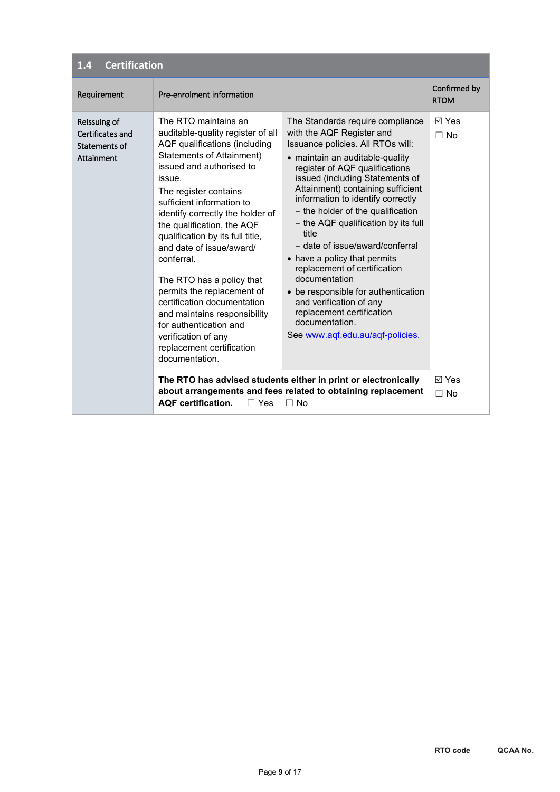| <b>Certification</b><br>1.4                                     |                                                                                                                                                                                                                                                                                                                                                                                                                                                                                                                                                                                               |                                                                                                                                                                                                                                                                                                                                                                                                                                                                                                                                                                                                                                                               |                             |  |
|-----------------------------------------------------------------|-----------------------------------------------------------------------------------------------------------------------------------------------------------------------------------------------------------------------------------------------------------------------------------------------------------------------------------------------------------------------------------------------------------------------------------------------------------------------------------------------------------------------------------------------------------------------------------------------|---------------------------------------------------------------------------------------------------------------------------------------------------------------------------------------------------------------------------------------------------------------------------------------------------------------------------------------------------------------------------------------------------------------------------------------------------------------------------------------------------------------------------------------------------------------------------------------------------------------------------------------------------------------|-----------------------------|--|
| Requirement                                                     | Pre-enrolment information                                                                                                                                                                                                                                                                                                                                                                                                                                                                                                                                                                     |                                                                                                                                                                                                                                                                                                                                                                                                                                                                                                                                                                                                                                                               | Confirmed by<br><b>RTOM</b> |  |
| Reissuing of<br>Certificates and<br>Statements of<br>Attainment | The RTO maintains an<br>auditable-quality register of all<br>AQF qualifications (including<br>Statements of Attainment)<br>issued and authorised to<br>issue.<br>The register contains<br>sufficient information to<br>identify correctly the holder of<br>the qualification, the AQF<br>qualification by its full title,<br>and date of issue/award/<br>conferral.<br>The RTO has a policy that<br>permits the replacement of<br>certification documentation<br>and maintains responsibility<br>for authentication and<br>verification of any<br>replacement certification<br>documentation. | The Standards require compliance<br>with the AQF Register and<br>Issuance policies. All RTOs will:<br>• maintain an auditable-quality<br>register of AQF qualifications<br>issued (including Statements of<br>Attainment) containing sufficient<br>information to identify correctly<br>- the holder of the qualification<br>- the AQF qualification by its full<br>title<br>- date of issue/award/conferral<br>• have a policy that permits<br>replacement of certification<br>documentation<br>be responsible for authentication<br>$\bullet$<br>and verification of any<br>replacement certification<br>documentation.<br>See www.aqf.edu.au/aqf-policies. | ା Yes<br>$\Box$ No          |  |
|                                                                 | <b>AOF</b> certification.<br>$\Box$ Yes                                                                                                                                                                                                                                                                                                                                                                                                                                                                                                                                                       | The RTO has advised students either in print or electronically<br>about arrangements and fees related to obtaining replacement<br>$\Box$ No                                                                                                                                                                                                                                                                                                                                                                                                                                                                                                                   | <b>⊠</b> Yes<br>$\Box$ No   |  |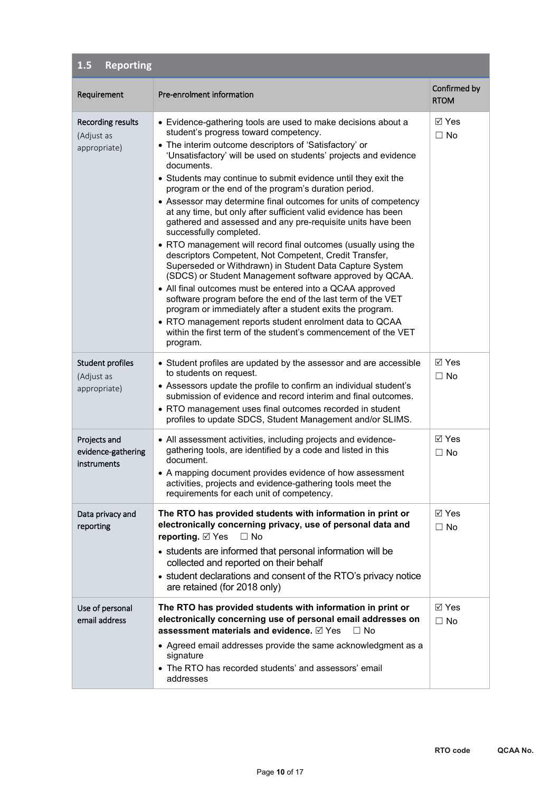| <b>Reporting</b><br>1.5                                |                                                                                                                                                                                                                                                                                                                                                                                                                                                                                                                                                                                                                                                                                                                                                                                                                                                                                                                                                                                                                                                                                                                                                                                                 |                              |
|--------------------------------------------------------|-------------------------------------------------------------------------------------------------------------------------------------------------------------------------------------------------------------------------------------------------------------------------------------------------------------------------------------------------------------------------------------------------------------------------------------------------------------------------------------------------------------------------------------------------------------------------------------------------------------------------------------------------------------------------------------------------------------------------------------------------------------------------------------------------------------------------------------------------------------------------------------------------------------------------------------------------------------------------------------------------------------------------------------------------------------------------------------------------------------------------------------------------------------------------------------------------|------------------------------|
| Requirement                                            | Pre-enrolment information                                                                                                                                                                                                                                                                                                                                                                                                                                                                                                                                                                                                                                                                                                                                                                                                                                                                                                                                                                                                                                                                                                                                                                       | Confirmed by<br><b>RTOM</b>  |
| <b>Recording results</b><br>(Adjust as<br>appropriate) | • Evidence-gathering tools are used to make decisions about a<br>student's progress toward competency.<br>• The interim outcome descriptors of 'Satisfactory' or<br>'Unsatisfactory' will be used on students' projects and evidence<br>documents.<br>• Students may continue to submit evidence until they exit the<br>program or the end of the program's duration period.<br>• Assessor may determine final outcomes for units of competency<br>at any time, but only after sufficient valid evidence has been<br>gathered and assessed and any pre-requisite units have been<br>successfully completed.<br>• RTO management will record final outcomes (usually using the<br>descriptors Competent, Not Competent, Credit Transfer,<br>Superseded or Withdrawn) in Student Data Capture System<br>(SDCS) or Student Management software approved by QCAA.<br>• All final outcomes must be entered into a QCAA approved<br>software program before the end of the last term of the VET<br>program or immediately after a student exits the program.<br>• RTO management reports student enrolment data to QCAA<br>within the first term of the student's commencement of the VET<br>program. | ⊠ Yes<br>$\Box$ No           |
| <b>Student profiles</b><br>(Adjust as<br>appropriate)  | • Student profiles are updated by the assessor and are accessible<br>to students on request.<br>• Assessors update the profile to confirm an individual student's<br>submission of evidence and record interim and final outcomes.<br>• RTO management uses final outcomes recorded in student<br>profiles to update SDCS, Student Management and/or SLIMS.                                                                                                                                                                                                                                                                                                                                                                                                                                                                                                                                                                                                                                                                                                                                                                                                                                     | $\boxtimes$ Yes<br>$\Box$ No |
| Projects and<br>evidence-gathering<br>instruments      | • All assessment activities, including projects and evidence-<br>gathering tools, are identified by a code and listed in this<br>document.<br>• A mapping document provides evidence of how assessment<br>activities, projects and evidence-gathering tools meet the<br>requirements for each unit of competency.                                                                                                                                                                                                                                                                                                                                                                                                                                                                                                                                                                                                                                                                                                                                                                                                                                                                               | ⊠ Yes<br>$\Box$ No           |
| Data privacy and<br>reporting                          | The RTO has provided students with information in print or<br>electronically concerning privacy, use of personal data and<br>reporting. ⊠ Yes<br>$\Box$ No<br>• students are informed that personal information will be<br>collected and reported on their behalf<br>• student declarations and consent of the RTO's privacy notice<br>are retained (for 2018 only)                                                                                                                                                                                                                                                                                                                                                                                                                                                                                                                                                                                                                                                                                                                                                                                                                             | ⊠ Yes<br>$\Box$ No           |
| Use of personal<br>email address                       | The RTO has provided students with information in print or<br>electronically concerning use of personal email addresses on<br>assessment materials and evidence. ⊠ Yes<br>$\Box$ No<br>• Agreed email addresses provide the same acknowledgment as a<br>signature<br>• The RTO has recorded students' and assessors' email<br>addresses                                                                                                                                                                                                                                                                                                                                                                                                                                                                                                                                                                                                                                                                                                                                                                                                                                                         | $\boxtimes$ Yes<br>$\Box$ No |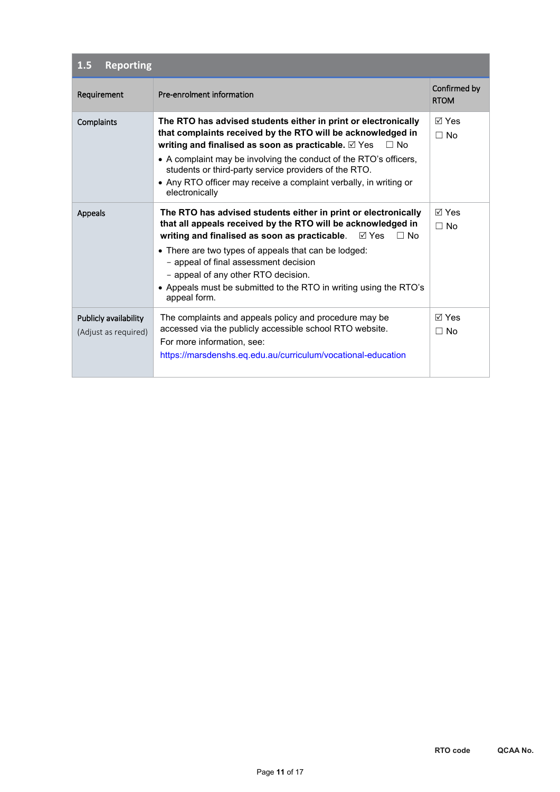| <b>Reporting</b><br>1.5                       |                                                                                                                                                                                                                                                                                                                                                                                                                                    |                             |  |  |  |
|-----------------------------------------------|------------------------------------------------------------------------------------------------------------------------------------------------------------------------------------------------------------------------------------------------------------------------------------------------------------------------------------------------------------------------------------------------------------------------------------|-----------------------------|--|--|--|
| Requirement                                   | Pre-enrolment information                                                                                                                                                                                                                                                                                                                                                                                                          | Confirmed by<br><b>RTOM</b> |  |  |  |
| Complaints                                    | The RTO has advised students either in print or electronically<br>that complaints received by the RTO will be acknowledged in<br>writing and finalised as soon as practicable. <b>Ø</b> Yes<br>$\Box$ No<br>• A complaint may be involving the conduct of the RTO's officers,<br>students or third-party service providers of the RTO.<br>• Any RTO officer may receive a complaint verbally, in writing or<br>electronically      | $\boxdot$ Yes<br>$\Box$ No  |  |  |  |
| Appeals                                       | The RTO has advised students either in print or electronically<br>that all appeals received by the RTO will be acknowledged in<br>writing and finalised as soon as practicable.<br>⊠ Yes<br>$\Box$ No<br>• There are two types of appeals that can be lodged:<br>- appeal of final assessment decision<br>- appeal of any other RTO decision.<br>• Appeals must be submitted to the RTO in writing using the RTO's<br>appeal form. | $\boxdot$ Yes<br>$\Box$ No  |  |  |  |
| Publicly availability<br>(Adjust as required) | The complaints and appeals policy and procedure may be<br>accessed via the publicly accessible school RTO website.<br>For more information, see:<br>https://marsdenshs.eq.edu.au/curriculum/vocational-education                                                                                                                                                                                                                   | $\boxdot$ Yes<br>$\Box$ No  |  |  |  |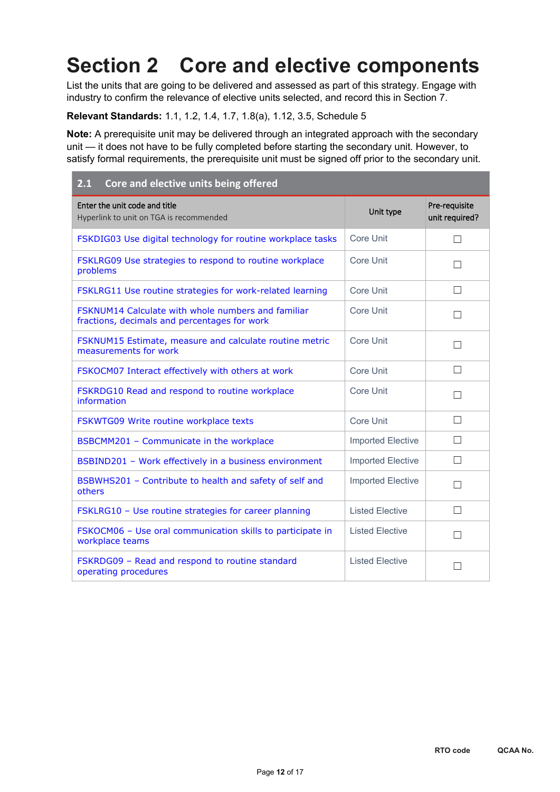# **Section 2 Core and elective components**

List the units that are going to be delivered and assessed as part of this strategy. Engage with industry to confirm the relevance of elective units selected, and record this in Section 7.

#### **Relevant Standards:** 1.1, 1.2, 1.4, 1.7, 1.8(a), 1.12, 3.5, Schedule 5

**Note:** A prerequisite unit may be delivered through an integrated approach with the secondary unit — it does not have to be fully completed before starting the secondary unit. However, to satisfy formal requirements, the prerequisite unit must be signed off prior to the secondary unit.

| Core and elective units being offered<br>2.1                                                       |                          |                                 |
|----------------------------------------------------------------------------------------------------|--------------------------|---------------------------------|
| Enter the unit code and title<br>Hyperlink to unit on TGA is recommended                           | Unit type                | Pre-requisite<br>unit required? |
| FSKDIG03 Use digital technology for routine workplace tasks                                        | Core Unit                | $\Box$                          |
| FSKLRG09 Use strategies to respond to routine workplace<br>problems                                | Core Unit                |                                 |
| FSKLRG11 Use routine strategies for work-related learning                                          | Core Unit                | П                               |
| FSKNUM14 Calculate with whole numbers and familiar<br>fractions, decimals and percentages for work | <b>Core Unit</b>         |                                 |
| FSKNUM15 Estimate, measure and calculate routine metric<br>measurements for work                   | Core Unit                | П                               |
| FSKOCM07 Interact effectively with others at work                                                  | Core Unit                | П                               |
| FSKRDG10 Read and respond to routine workplace<br>information                                      | Core Unit                | П                               |
| FSKWTG09 Write routine workplace texts                                                             | Core Unit                | П                               |
| BSBCMM201 - Communicate in the workplace                                                           | <b>Imported Elective</b> | П                               |
| BSBIND201 - Work effectively in a business environment                                             | <b>Imported Elective</b> | $\perp$                         |
| BSBWHS201 - Contribute to health and safety of self and<br>others                                  | <b>Imported Elective</b> | $\mathsf{L}$                    |
| FSKLRG10 - Use routine strategies for career planning                                              | <b>Listed Elective</b>   | $\Box$                          |
| FSKOCM06 - Use oral communication skills to participate in<br>workplace teams                      | <b>Listed Elective</b>   | $\mathsf{L}$                    |
| FSKRDG09 - Read and respond to routine standard<br>operating procedures                            | <b>Listed Elective</b>   |                                 |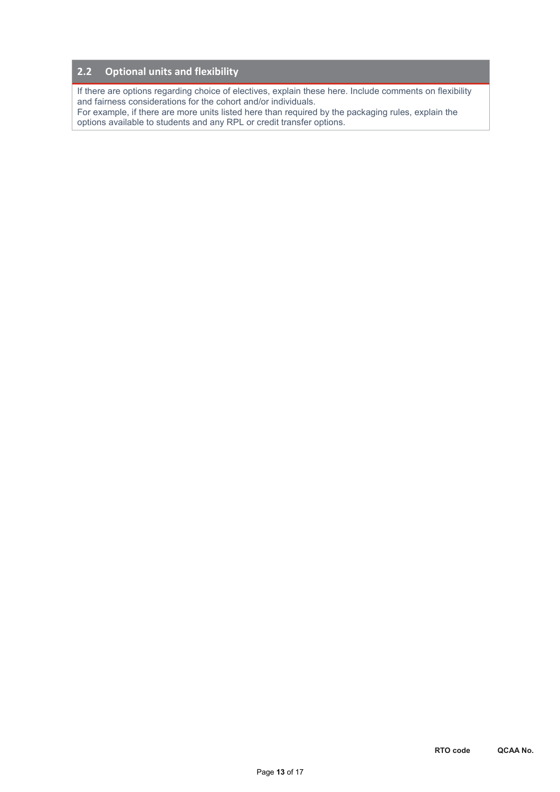#### **2.2 Optional units and flexibility**

If there are options regarding choice of electives, explain these here. Include comments on flexibility and fairness considerations for the cohort and/or individuals.

For example, if there are more units listed here than required by the packaging rules, explain the options available to students and any RPL or credit transfer options.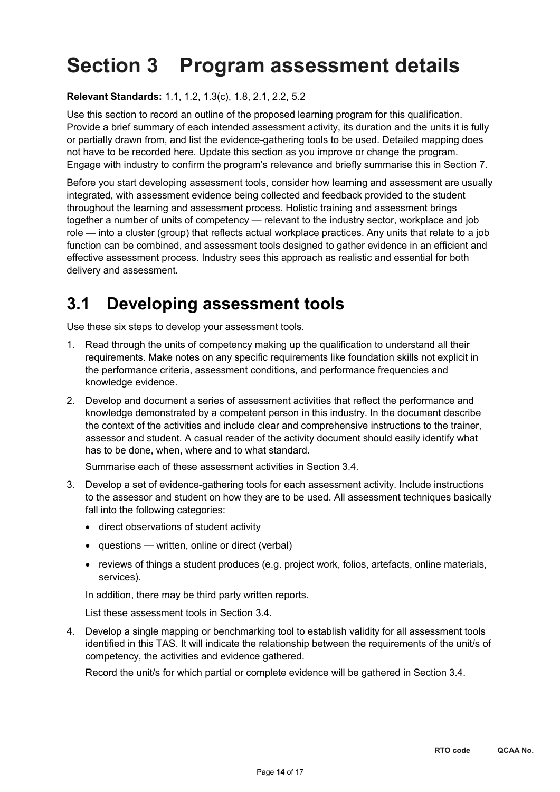# **Section 3 Program assessment details**

**Relevant Standards:** 1.1, 1.2, 1.3(c), 1.8, 2.1, 2.2, 5.2

Use this section to record an outline of the proposed learning program for this qualification. Provide a brief summary of each intended assessment activity, its duration and the units it is fully or partially drawn from, and list the evidence-gathering tools to be used. Detailed mapping does not have to be recorded here. Update this section as you improve or change the program. Engage with industry to confirm the program's relevance and briefly summarise this in Section 7.

Before you start developing assessment tools, consider how learning and assessment are usually integrated, with assessment evidence being collected and feedback provided to the student throughout the learning and assessment process. Holistic training and assessment brings together a number of units of competency — relevant to the industry sector, workplace and job role — into a cluster (group) that reflects actual workplace practices. Any units that relate to a job function can be combined, and assessment tools designed to gather evidence in an efficient and effective assessment process. Industry sees this approach as realistic and essential for both delivery and assessment.

## **3.1 Developing assessment tools**

Use these six steps to develop your assessment tools.

- 1. Read through the units of competency making up the qualification to understand all their requirements. Make notes on any specific requirements like foundation skills not explicit in the performance criteria, assessment conditions, and performance frequencies and knowledge evidence.
- 2. Develop and document a series of assessment activities that reflect the performance and knowledge demonstrated by a competent person in this industry. In the document describe the context of the activities and include clear and comprehensive instructions to the trainer, assessor and student. A casual reader of the activity document should easily identify what has to be done, when, where and to what standard.

Summarise each of these assessment activities in Section 3.4.

- 3. Develop a set of evidence-gathering tools for each assessment activity. Include instructions to the assessor and student on how they are to be used. All assessment techniques basically fall into the following categories:
	- direct observations of student activity
	- questions written, online or direct (verbal)
	- reviews of things a student produces (e.g. project work, folios, artefacts, online materials, services).

In addition, there may be third party written reports.

List these assessment tools in Section 3.4.

4. Develop a single mapping or benchmarking tool to establish validity for all assessment tools identified in this TAS. It will indicate the relationship between the requirements of the unit/s of competency, the activities and evidence gathered.

Record the unit/s for which partial or complete evidence will be gathered in Section 3.4.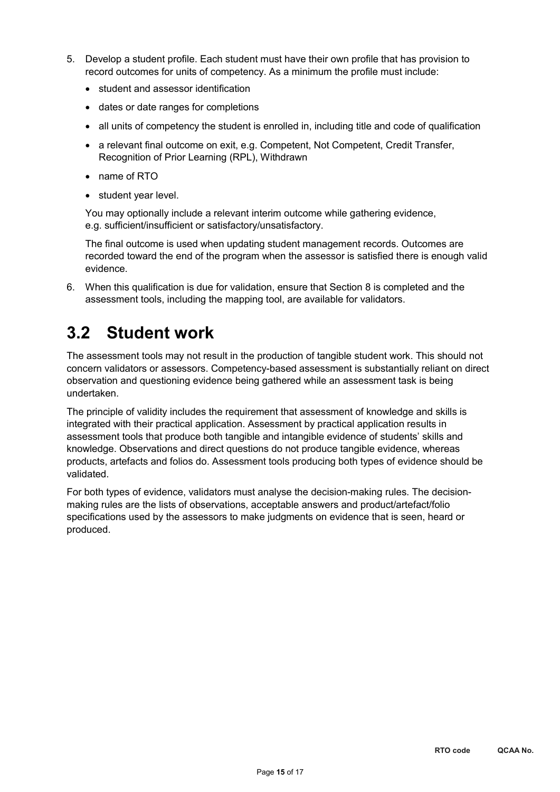- 5. Develop a student profile. Each student must have their own profile that has provision to record outcomes for units of competency. As a minimum the profile must include:
	- student and assessor identification
	- dates or date ranges for completions
	- all units of competency the student is enrolled in, including title and code of qualification
	- a relevant final outcome on exit, e.g. Competent, Not Competent, Credit Transfer, Recognition of Prior Learning (RPL), Withdrawn
	- name of RTO
	- student year level.

You may optionally include a relevant interim outcome while gathering evidence, e.g. sufficient/insufficient or satisfactory/unsatisfactory.

The final outcome is used when updating student management records. Outcomes are recorded toward the end of the program when the assessor is satisfied there is enough valid evidence.

6. When this qualification is due for validation, ensure that Section 8 is completed and the assessment tools, including the mapping tool, are available for validators.

## **3.2 Student work**

The assessment tools may not result in the production of tangible student work. This should not concern validators or assessors. Competency-based assessment is substantially reliant on direct observation and questioning evidence being gathered while an assessment task is being undertaken.

The principle of validity includes the requirement that assessment of knowledge and skills is integrated with their practical application. Assessment by practical application results in assessment tools that produce both tangible and intangible evidence of students' skills and knowledge. Observations and direct questions do not produce tangible evidence, whereas products, artefacts and folios do. Assessment tools producing both types of evidence should be validated.

For both types of evidence, validators must analyse the decision-making rules. The decisionmaking rules are the lists of observations, acceptable answers and product/artefact/folio specifications used by the assessors to make judgments on evidence that is seen, heard or produced.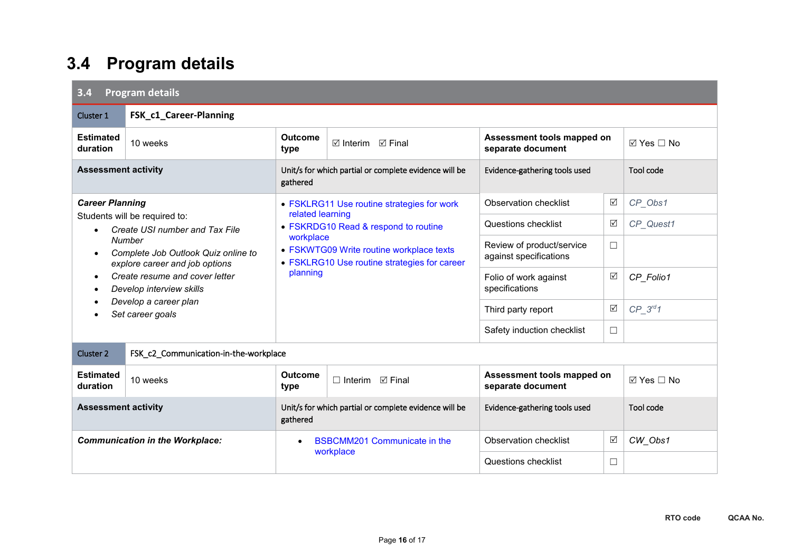## **3.4 Program details**

| 3.4<br><b>Program details</b>                                                                                                                                                                                                                                                                        |                        |                                                                                                                                                                               |                                            |                                                     |                 |                           |
|------------------------------------------------------------------------------------------------------------------------------------------------------------------------------------------------------------------------------------------------------------------------------------------------------|------------------------|-------------------------------------------------------------------------------------------------------------------------------------------------------------------------------|--------------------------------------------|-----------------------------------------------------|-----------------|---------------------------|
| Cluster 1                                                                                                                                                                                                                                                                                            | FSK_c1_Career-Planning |                                                                                                                                                                               |                                            |                                                     |                 |                           |
| <b>Estimated</b><br>duration                                                                                                                                                                                                                                                                         | 10 weeks               | <b>Outcome</b><br>$\boxtimes$ Interim $\boxtimes$ Final<br>type                                                                                                               |                                            | Assessment tools mapped on<br>separate document     |                 | $\boxtimes$ Yes $\Box$ No |
| <b>Assessment activity</b>                                                                                                                                                                                                                                                                           |                        | Unit/s for which partial or complete evidence will be<br>gathered                                                                                                             |                                            | Evidence-gathering tools used                       |                 | Tool code                 |
| <b>Career Planning</b><br>Students will be required to:<br>Create USI number and Tax File<br>Number<br>Complete Job Outlook Quiz online to<br>$\bullet$<br>explore career and job options<br>Create resume and cover letter<br>Develop interview skills<br>Develop a career plan<br>Set career goals |                        |                                                                                                                                                                               | • FSKLRG11 Use routine strategies for work | ☑<br>CP_Obs1<br>Observation checklist               |                 |                           |
|                                                                                                                                                                                                                                                                                                      |                        | related learning<br>• FSKRDG10 Read & respond to routine<br>workplace<br>• FSKWTG09 Write routine workplace texts<br>• FSKLRG10 Use routine strategies for career<br>planning |                                            | Questions checklist                                 | ☑               | CP_Quest1                 |
|                                                                                                                                                                                                                                                                                                      |                        |                                                                                                                                                                               |                                            | Review of product/service<br>against specifications | □               |                           |
|                                                                                                                                                                                                                                                                                                      |                        |                                                                                                                                                                               |                                            | Folio of work against<br>specifications             | ☑               | CP_Folio1                 |
|                                                                                                                                                                                                                                                                                                      |                        |                                                                                                                                                                               |                                            | Third party report                                  | $\triangledown$ | $CP_3^{rd}1$              |
|                                                                                                                                                                                                                                                                                                      |                        |                                                                                                                                                                               |                                            | Safety induction checklist                          | $\Box$          |                           |
| Cluster 2<br>FSK_c2_Communication-in-the-workplace                                                                                                                                                                                                                                                   |                        |                                                                                                                                                                               |                                            |                                                     |                 |                           |
| <b>Estimated</b><br>duration                                                                                                                                                                                                                                                                         | 10 weeks               | <b>Outcome</b><br>type                                                                                                                                                        | $\Box$ Interim $\Box$ Final                | Assessment tools mapped on<br>separate document     |                 | ⊠ Yes □ No                |
| <b>Assessment activity</b>                                                                                                                                                                                                                                                                           |                        | Unit/s for which partial or complete evidence will be<br>gathered                                                                                                             |                                            | Evidence-gathering tools used                       |                 | Tool code                 |
| <b>Communication in the Workplace:</b>                                                                                                                                                                                                                                                               |                        | <b>BSBCMM201 Communicate in the</b><br>$\bullet$<br>workplace                                                                                                                 |                                            | <b>Observation checklist</b>                        | ☑               | CW_Obs1                   |
|                                                                                                                                                                                                                                                                                                      |                        |                                                                                                                                                                               |                                            | Questions checklist                                 | $\Box$          |                           |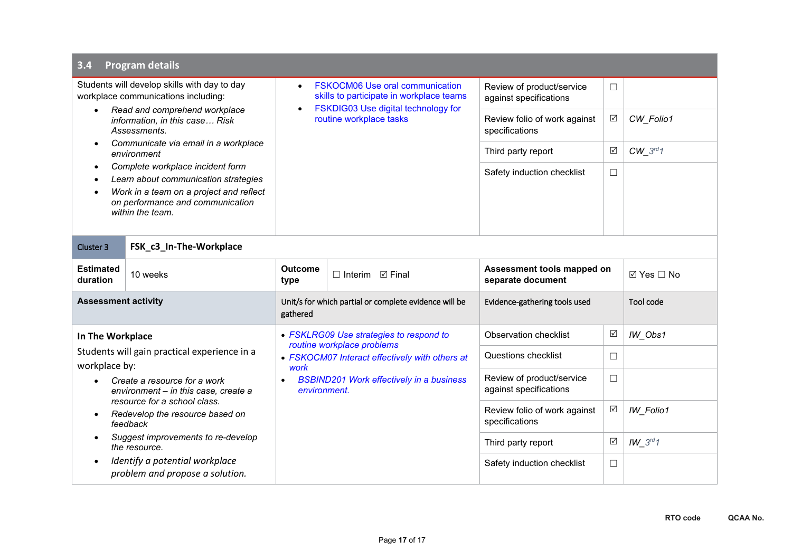#### **3.4 Program details** Students will develop skills with day to day workplace communications including: • *Read and comprehend workplace information, in this case… Risk Assessments.* • *Communicate via email in a workplace environment* • *Complete workplace incident form* • *Learn about communication strategies* • *Work in a team on a project and reflect on performance and communication within the team.* • [FSKOCM06 Use oral communication](https://training.gov.au/Training/Details/FSKOCM06)  [skills to participate in workplace teams](https://training.gov.au/Training/Details/FSKOCM06) • [FSKDIG03 Use digital technology for](https://training.gov.au/Training/Details/FSKDIG03)  [routine workplace tasks](https://training.gov.au/Training/Details/FSKDIG03) Review of product/service against specifications ☐ Review folio of work against specifications *CW\_Folio1* Third party report *v*  $\boxed{\emptyset}$  *CW* 3<sup>rd</sup>1 Safety induction checklist  $\Box$ Cluster 3 **FSK\_c3\_In-The-Workplace Estimated duration** 10 weeks **Outcome Outcome □** Interim **☑ Final Assessment tools mapped on <br>type <b>b** separate document **Beparate document** yes <u>Mapped on</u> yes <u>M</u> Yes <u>M</u> No **Assessment activity** Unit/s for which partial or complete evidence will be gathered Evidence-gathering tools used Tool code **In The Workplace** Students will gain practical experience in a workplace by: • *Create a resource for a work environment – in this case, create a resource for a school class.* • *Redevelop the resource based on feedback* • *Suggest improvements to re-develop the resource.* • *Identify a potential workplace problem and propose a solution.* • *[FSKLRG09 Use strategies to respond to](https://training.gov.au/Training/Details/FSKLRG09)  [routine workplace problems](https://training.gov.au/Training/Details/FSKLRG09)* • *[FSKOCM07 Interact effectively with others at](https://training.gov.au/Training/Details/FSKOCM07)  [work](https://training.gov.au/Training/Details/FSKOCM07)* • *[BSBIND201 Work effectively in a business](https://training.gov.au/Training/Details/BSBIND201)  [environment.](https://training.gov.au/Training/Details/BSBIND201)* Observation checklist  $|\mathbb{Z}|$  *IW\_Obs1* Questions checklist  $\Box$ Review of product/service against specifications ☐ Review folio of work against specifications  $\boxtimes$  *IW Folio1* Third party report  $\boxed{\emptyset}$  *IW* 3rd1 Safety induction checklist  $\Box$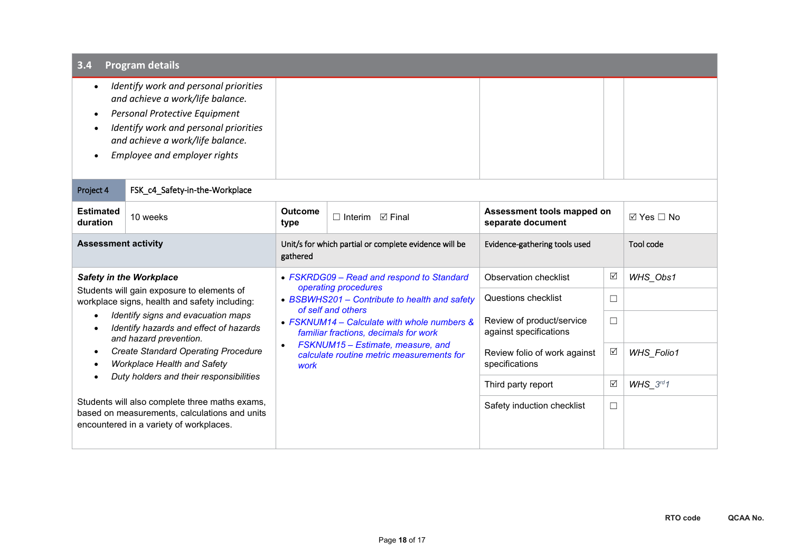| <b>Program details</b><br>3.4                                                                                                                                                                                                                                                                                                                                                                                                                                                                                        |                                |                                                                   |                                                                                      |                                                             |        |                           |
|----------------------------------------------------------------------------------------------------------------------------------------------------------------------------------------------------------------------------------------------------------------------------------------------------------------------------------------------------------------------------------------------------------------------------------------------------------------------------------------------------------------------|--------------------------------|-------------------------------------------------------------------|--------------------------------------------------------------------------------------|-------------------------------------------------------------|--------|---------------------------|
| Identify work and personal priorities<br>and achieve a work/life balance.<br>Personal Protective Equipment<br>$\bullet$<br>Identify work and personal priorities<br>and achieve a work/life balance.<br>Employee and employer rights                                                                                                                                                                                                                                                                                 |                                |                                                                   |                                                                                      |                                                             |        |                           |
| Project 4                                                                                                                                                                                                                                                                                                                                                                                                                                                                                                            | FSK_c4_Safety-in-the-Workplace |                                                                   |                                                                                      |                                                             |        |                           |
| <b>Estimated</b><br>duration                                                                                                                                                                                                                                                                                                                                                                                                                                                                                         | 10 weeks                       | <b>Outcome</b><br>$\Box$ Interim $\Box$ Final<br>type             |                                                                                      | Assessment tools mapped on<br>separate document             |        | $\boxtimes$ Yes $\Box$ No |
| <b>Assessment activity</b>                                                                                                                                                                                                                                                                                                                                                                                                                                                                                           |                                | Unit/s for which partial or complete evidence will be<br>gathered |                                                                                      | Evidence-gathering tools used                               |        | Tool code                 |
| <b>Safety in the Workplace</b><br>Students will gain exposure to elements of<br>workplace signs, health and safety including:<br>Identify signs and evacuation maps<br>Identify hazards and effect of hazards<br>and hazard prevention.<br><b>Create Standard Operating Procedure</b><br><b>Workplace Health and Safety</b><br>Duty holders and their responsibilities<br>Students will also complete three maths exams,<br>based on measurements, calculations and units<br>encountered in a variety of workplaces. |                                |                                                                   | • FSKRDG09 - Read and respond to Standard<br>operating procedures                    | Observation checklist<br>☑<br>Questions checklist<br>$\Box$ |        | WHS_Obs1                  |
|                                                                                                                                                                                                                                                                                                                                                                                                                                                                                                                      |                                |                                                                   | • BSBWHS201 - Contribute to health and safety<br>of self and others                  |                                                             |        |                           |
|                                                                                                                                                                                                                                                                                                                                                                                                                                                                                                                      |                                |                                                                   | • FSKNUM14 - Calculate with whole numbers &<br>familiar fractions, decimals for work | Review of product/service<br>against specifications         | $\Box$ |                           |
|                                                                                                                                                                                                                                                                                                                                                                                                                                                                                                                      |                                | $\bullet$<br>work                                                 | FSKNUM15 - Estimate, measure, and<br>calculate routine metric measurements for       | Review folio of work against<br>specifications              | ☑      | <b>WHS_Folio1</b>         |
|                                                                                                                                                                                                                                                                                                                                                                                                                                                                                                                      |                                |                                                                   |                                                                                      | Third party report                                          | ☑      | WHS $3^{rd}1$             |
|                                                                                                                                                                                                                                                                                                                                                                                                                                                                                                                      |                                |                                                                   |                                                                                      | Safety induction checklist                                  | □      |                           |